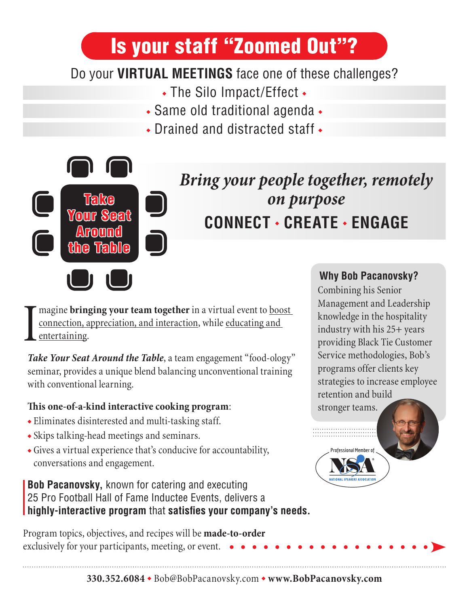# Is your staff "Zoomed Out"?

### Do your **VIRTUAL MEETINGS** face one of these challenges?

- The Silo Impact/Effect •
- Same old traditional agenda •
- Drained and distracted staff •



## *Bring your people together, remotely on purpose* **CONNECT · CREATE · ENGAGE**

I magine **bringing your team together** in a virtual event to **boost** connection, appreciation, and interaction, while educating and entertaining.

Take Your Seat Around the Table, a team engagement "food-ology" seminar, provides a unique blend balancing unconventional training with conventional learning.

#### **This one-of-a-kind interactive cooking program**:

- Eliminates disinterested and multi-tasking staff.
- Skips talking-head meetings and seminars.
- Gives a virtual experience that's conducive for accountability, conversations and engagement.

#### **Bob Pacanovsky,** known for catering and executing 25 Pro Football Hall of Fame Inductee Events, delivers a **highly-interactive program** that **satisfies your company's needs.**

Program topics, objectives, and recipes will be **made-to-order** exclusively for your participants, meeting, or event.

#### **Why Bob Pacanovsky?**

Combining his Senior Management and Leadership knowledge in the hospitality industry with his 25+ years providing Black Tie Customer Service methodologies, Bob's programs offer clients key strategies to increase employee retention and build stronger teams.

**Professional Member of**